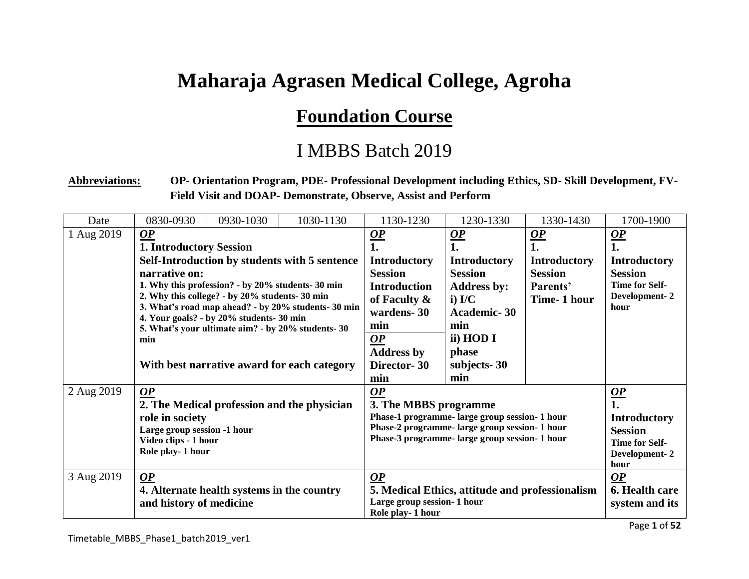## **Maharaja Agrasen Medical College, Agroha**

## **Foundation Course**

## I MBBS Batch 2019

## **Abbreviations: OP- Orientation Program, PDE- Professional Development including Ethics, SD- Skill Development, FV-Field Visit and DOAP- Demonstrate, Observe, Assist and Perform**

| Date                     | 0830-0930                                                                                                                                                                                                                                                                                                                                                                                | 0930-1030 | 1030-1130                                                                                                                                                                     | 1130-1230                                                                                                                                                   | 1230-1330                                                                                                                                                 | 1330-1430                                                                                                  | 1700-1900                                                                                                                       |
|--------------------------|------------------------------------------------------------------------------------------------------------------------------------------------------------------------------------------------------------------------------------------------------------------------------------------------------------------------------------------------------------------------------------------|-----------|-------------------------------------------------------------------------------------------------------------------------------------------------------------------------------|-------------------------------------------------------------------------------------------------------------------------------------------------------------|-----------------------------------------------------------------------------------------------------------------------------------------------------------|------------------------------------------------------------------------------------------------------------|---------------------------------------------------------------------------------------------------------------------------------|
| 1 Aug 2019               | $\boldsymbol{OP}$<br><b>1. Introductory Session</b><br>Self-Introduction by students with 5 sentence<br>narrative on:<br>1. Why this profession? - by 20% students-30 min<br>2. Why this college? - by 20% students-30 min<br>3. What's road map ahead? - by 20% students-30 min<br>4. Your goals? - by 20% students- 30 min<br>5. What's your ultimate aim? - by 20% students-30<br>min |           | $\frac{OP}{1.}$<br><b>Introductory</b><br><b>Session</b><br><b>Introduction</b><br>of Faculty &<br>wardens-30<br>min<br>$\boldsymbol{OP}$<br><b>Address by</b><br>Director-30 | $\frac{OP}{1}$<br><b>Introductory</b><br><b>Session</b><br><b>Address by:</b><br>$i)$ I/C<br><b>Academic-30</b><br>min<br>ii) HOD I<br>phase<br>subjects-30 | $\mathbf{Q}$<br>1.<br><b>Introductory</b><br><b>Session</b><br>Parents'<br>Time-1 hour                                                                    | $\underline{OP}$<br>1.<br><b>Introductory</b><br><b>Session</b><br>Time for Self-<br>Development-2<br>hour |                                                                                                                                 |
| 2 Aug 2019<br>3 Aug 2019 | With best narrative award for each category<br>$\overline{OP}$<br>2. The Medical profession and the physician<br>role in society<br>Large group session -1 hour<br>Video clips - 1 hour<br>Role play-1 hour<br>OP                                                                                                                                                                        |           |                                                                                                                                                                               | min<br>$\mathbf{Q}$<br>3. The MBBS programme<br>$\boldsymbol{OP}$                                                                                           | min<br>Phase-1 programme- large group session- 1 hour<br>Phase-2 programme- large group session- 1 hour<br>Phase-3 programme- large group session- 1 hour |                                                                                                            | $\overline{OP}$<br><b>Introductory</b><br><b>Session</b><br><b>Time for Self-</b><br>Development-2<br>hour<br>$\boldsymbol{OP}$ |
|                          | 4. Alternate health systems in the country<br>and history of medicine                                                                                                                                                                                                                                                                                                                    |           |                                                                                                                                                                               | 5. Medical Ethics, attitude and professionalism<br>Large group session- 1 hour<br>Role play-1 hour                                                          |                                                                                                                                                           |                                                                                                            | 6. Health care<br>system and its                                                                                                |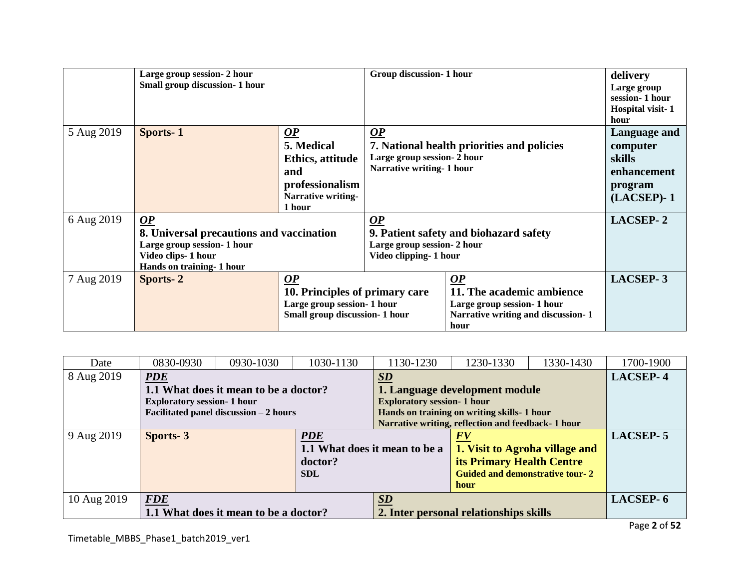|            | Large group session- 2 hour<br>Small group discussion- 1 hour                                                                                |                                                                                                                       | Group discussion- 1 hour                                                                                               |                                                                                                                           | delivery<br>Large group<br>session-1 hour<br>Hospital visit-1<br>hour        |
|------------|----------------------------------------------------------------------------------------------------------------------------------------------|-----------------------------------------------------------------------------------------------------------------------|------------------------------------------------------------------------------------------------------------------------|---------------------------------------------------------------------------------------------------------------------------|------------------------------------------------------------------------------|
| 5 Aug 2019 | Sports-1                                                                                                                                     | $\mathbf{\underline{OP}}$<br>5. Medical<br>Ethics, attitude<br>and<br>professionalism<br>Narrative writing-<br>1 hour | $\mathbf{Q}$<br>7. National health priorities and policies<br>Large group session- 2 hour<br>Narrative writing- 1 hour |                                                                                                                           | Language and<br>computer<br>skills<br>enhancement<br>program<br>$(LACSEP)-1$ |
| 6 Aug 2019 | $\overline{OP}$<br>8. Universal precautions and vaccination<br>Large group session- 1 hour<br>Video clips-1 hour<br>Hands on training-1 hour |                                                                                                                       | $\overline{OP}$<br>9. Patient safety and biohazard safety<br>Large group session- 2 hour<br>Video clipping- 1 hour     |                                                                                                                           | <b>LACSEP-2</b>                                                              |
| 7 Aug 2019 | Sports-2                                                                                                                                     | $\boldsymbol{OP}$<br>10. Principles of primary care<br>Large group session-1 hour<br>Small group discussion-1 hour    |                                                                                                                        | $\overline{OP}$<br>11. The academic ambience<br>Large group session- 1 hour<br>Narrative writing and discussion-1<br>hour | <b>LACSEP-3</b>                                                              |

| Date        | 0830-0930                             | 0930-1030                               | 1030-1130                     | 1130-1230                              | 1230-1330                                          | 1330-1430 | 1700-1900       |
|-------------|---------------------------------------|-----------------------------------------|-------------------------------|----------------------------------------|----------------------------------------------------|-----------|-----------------|
| 8 Aug 2019  | <b>PDE</b>                            |                                         |                               | $\overline{SD}$                        |                                                    |           | <b>LACSEP-4</b> |
|             |                                       | 1.1 What does it mean to be a doctor?   |                               |                                        | 1. Language development module                     |           |                 |
|             | <b>Exploratory session- 1 hour</b>    |                                         |                               | <b>Exploratory session- 1 hour</b>     |                                                    |           |                 |
|             |                                       | Facilitated panel discussion $-2$ hours |                               |                                        | Hands on training on writing skills-1 hour         |           |                 |
|             |                                       |                                         |                               |                                        | Narrative writing, reflection and feedback- 1 hour |           |                 |
| 9 Aug 2019  | Sports-3                              |                                         | <b>PDE</b>                    |                                        | FV                                                 |           | <b>LACSEP-5</b> |
|             |                                       |                                         | 1.1 What does it mean to be a |                                        | 1. Visit to Agroha village and                     |           |                 |
|             |                                       |                                         | doctor?                       |                                        | <b>its Primary Health Centre</b>                   |           |                 |
|             |                                       |                                         | <b>SDL</b>                    |                                        | <b>Guided and demonstrative tour-2</b>             |           |                 |
|             |                                       |                                         |                               |                                        | hour                                               |           |                 |
| 10 Aug 2019 | <b>FDE</b>                            |                                         |                               | <b>SD</b>                              |                                                    |           | LACSEP-6        |
|             | 1.1 What does it mean to be a doctor? |                                         |                               | 2. Inter personal relationships skills |                                                    |           |                 |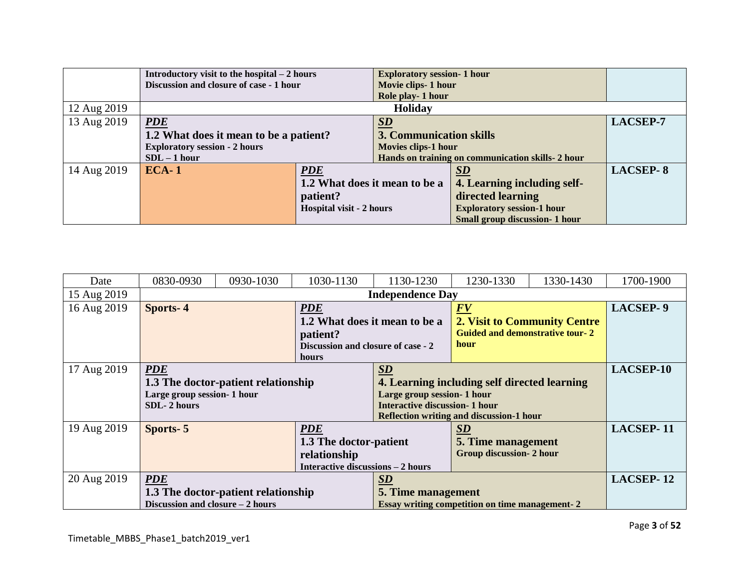|             | Introductory visit to the hospital $-2$ hours |                               | <b>Exploratory session- 1 hour</b>               |                                                |                 |
|-------------|-----------------------------------------------|-------------------------------|--------------------------------------------------|------------------------------------------------|-----------------|
|             | Discussion and closure of case - 1 hour       |                               | Movie clips- 1 hour                              |                                                |                 |
|             |                                               |                               | Role play-1 hour                                 |                                                |                 |
| 12 Aug 2019 |                                               |                               | Holiday                                          |                                                |                 |
| 13 Aug 2019 | <b>PDE</b>                                    |                               | $\mathbf{S}\mathbf{D}$                           |                                                | <b>LACSEP-7</b> |
|             | 1.2 What does it mean to be a patient?        |                               | 3. Communication skills                          |                                                |                 |
|             | <b>Exploratory session - 2 hours</b>          |                               | Movies clips-1 hour                              |                                                |                 |
|             | $SDL - 1 hour$                                |                               | Hands on training on communication skills-2 hour |                                                |                 |
| 14 Aug 2019 | $ECA-1$                                       | <b>PDE</b>                    |                                                  | $\underline{\mathbf{S}}\underline{\mathbf{D}}$ | <b>LACSEP-8</b> |
|             |                                               | 1.2 What does it mean to be a |                                                  | 4. Learning including self-                    |                 |
|             |                                               | patient?                      |                                                  | directed learning                              |                 |
|             |                                               | Hospital visit - 2 hours      |                                                  | <b>Exploratory session-1 hour</b>              |                 |
|             |                                               |                               |                                                  | <b>Small group discussion- 1 hour</b>          |                 |

| Date        | 0830-0930                           | 0930-1030                           | 1030-1130                                             | 1130-1230                                       | 1230-1330                              | 1330-1430                           | 1700-1900        |
|-------------|-------------------------------------|-------------------------------------|-------------------------------------------------------|-------------------------------------------------|----------------------------------------|-------------------------------------|------------------|
| 15 Aug 2019 |                                     |                                     |                                                       | <b>Independence Day</b>                         |                                        |                                     |                  |
| 16 Aug 2019 | <b>Sports-4</b>                     |                                     | <b>PDE</b>                                            |                                                 | $\underline{F}\underline{V}$           |                                     | LACSEP-9         |
|             |                                     |                                     | 1.2 What does it mean to be a                         |                                                 |                                        | <b>2. Visit to Community Centre</b> |                  |
|             |                                     |                                     | patient?                                              |                                                 | <b>Guided and demonstrative tour-2</b> |                                     |                  |
|             |                                     |                                     | Discussion and closure of case - 2                    |                                                 | hour                                   |                                     |                  |
|             |                                     |                                     | hours                                                 |                                                 |                                        |                                     |                  |
| 17 Aug 2019 | <b>PDE</b>                          |                                     |                                                       | $\underline{\mathbf{S}}\underline{\mathbf{D}}$  |                                        |                                     | LACSEP-10        |
|             |                                     | 1.3 The doctor-patient relationship |                                                       | 4. Learning including self directed learning    |                                        |                                     |                  |
|             | Large group session- 1 hour         |                                     |                                                       | Large group session-1 hour                      |                                        |                                     |                  |
|             | SDL-2 hours                         |                                     |                                                       | <b>Interactive discussion- 1 hour</b>           |                                        |                                     |                  |
|             |                                     |                                     |                                                       | <b>Reflection writing and discussion-1 hour</b> |                                        |                                     |                  |
| 19 Aug 2019 | Sports-5                            |                                     | PDE                                                   |                                                 | $\underline{\mathbf{SD}}$              |                                     | <b>LACSEP-11</b> |
|             | 1.3 The doctor-patient              |                                     | 5. Time management                                    |                                                 |                                        |                                     |                  |
|             | relationship                        |                                     |                                                       | <b>Group discussion-2 hour</b>                  |                                        |                                     |                  |
|             | Interactive discussions - 2 hours   |                                     |                                                       |                                                 |                                        |                                     |                  |
| 20 Aug 2019 | <b>PDE</b>                          |                                     | $\underline{\mathbf{S}}\underline{\mathbf{D}}$        |                                                 |                                        | <b>LACSEP-12</b>                    |                  |
|             | 1.3 The doctor-patient relationship |                                     | 5. Time management                                    |                                                 |                                        |                                     |                  |
|             | Discussion and closure $-2$ hours   |                                     | <b>Essay writing competition on time management-2</b> |                                                 |                                        |                                     |                  |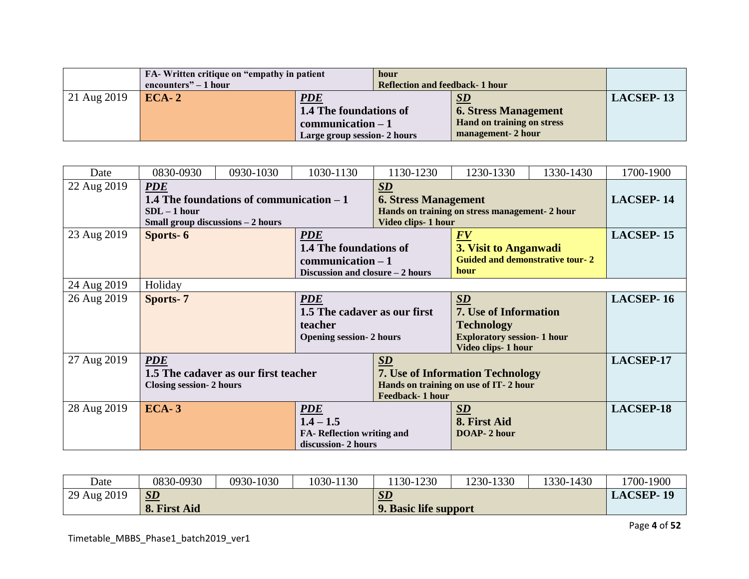|             | FA-Written critique on "empathy in patient"<br>encounters" $-1$ hour |                                                                                              | hour<br>Reflection and feedback-1 hour |                                                                                       |                  |
|-------------|----------------------------------------------------------------------|----------------------------------------------------------------------------------------------|----------------------------------------|---------------------------------------------------------------------------------------|------------------|
| 21 Aug 2019 | $ECA-2$                                                              | <b>PDE</b><br>1.4 The foundations of<br>$communication - 1$<br>Large group session - 2 hours |                                        | SD<br><b>6. Stress Management</b><br>Hand on training on stress<br>management- 2 hour | <b>LACSEP-13</b> |

| Date        | 0830-0930                         | 0930-1030                                 | 1030-1130                             | 1130-1230                                      | 1230-1330                                      | 1330-1430 | 1700-1900 |
|-------------|-----------------------------------|-------------------------------------------|---------------------------------------|------------------------------------------------|------------------------------------------------|-----------|-----------|
| 22 Aug 2019 | <b>PDE</b>                        |                                           |                                       | $\underline{\mathbf{SD}}$                      |                                                |           |           |
|             |                                   | 1.4 The foundations of communication $-1$ |                                       | <b>6. Stress Management</b>                    |                                                |           | LACSEP-14 |
|             | $SDL - 1 hour$                    |                                           |                                       |                                                | Hands on training on stress management- 2 hour |           |           |
|             | Small group discussions - 2 hours |                                           |                                       | Video clips-1 hour                             |                                                |           |           |
| 23 Aug 2019 | Sports-6                          |                                           | <b>PDE</b>                            |                                                | FV                                             |           | LACSEP-15 |
|             |                                   |                                           | <b>1.4 The foundations of</b>         |                                                | 3. Visit to Anganwadi                          |           |           |
|             |                                   |                                           | $communication - 1$                   |                                                | <b>Guided and demonstrative tour-2</b>         |           |           |
|             |                                   |                                           | Discussion and closure $-2$ hours     |                                                | hour                                           |           |           |
| 24 Aug 2019 | Holiday                           |                                           |                                       |                                                |                                                |           |           |
| 26 Aug 2019 | Sports-7<br><b>PDE</b>            |                                           |                                       | $\underline{\mathbf{S}}\underline{\mathbf{D}}$ |                                                | LACSEP-16 |           |
|             |                                   |                                           | 1.5 The cadaver as our first          |                                                | 7. Use of Information                          |           |           |
|             |                                   |                                           | teacher                               |                                                | <b>Technology</b>                              |           |           |
|             |                                   |                                           | <b>Opening session-2 hours</b>        |                                                | <b>Exploratory session- 1 hour</b>             |           |           |
|             |                                   |                                           |                                       |                                                | Video clips-1 hour                             |           |           |
| 27 Aug 2019 | <b>PDE</b>                        |                                           |                                       | $\underline{\mathbf{SD}}$                      |                                                |           | LACSEP-17 |
|             |                                   | 1.5 The cadaver as our first teacher      |                                       | <b>7. Use of Information Technology</b>        |                                                |           |           |
|             | <b>Closing session-2 hours</b>    |                                           | Hands on training on use of IT-2 hour |                                                |                                                |           |           |
|             |                                   |                                           |                                       | Feedback-1 hour                                |                                                |           |           |
| 28 Aug 2019 | <b>ECA-3</b>                      |                                           | <b>PDE</b>                            |                                                | $S\!D$                                         |           | LACSEP-18 |
|             |                                   |                                           | $1.4 - 1.5$                           |                                                | 8. First Aid                                   |           |           |
|             |                                   |                                           | FA- Reflection writing and            |                                                | DOAP-2 hour                                    |           |           |
|             |                                   |                                           | discussion-2 hours                    |                                                |                                                |           |           |

| Date        | 0830-0930    | 0930-1030 | 1030-1130 | 130-1230              | 1230-1330 | 1330-1430 | 1700-1900        |
|-------------|--------------|-----------|-----------|-----------------------|-----------|-----------|------------------|
| 29 Aug 2019 | $\sum$       |           |           | SL                    |           |           | <b>LACSEP-19</b> |
|             | 8. First Aid |           |           | 9. Basic life support |           |           |                  |